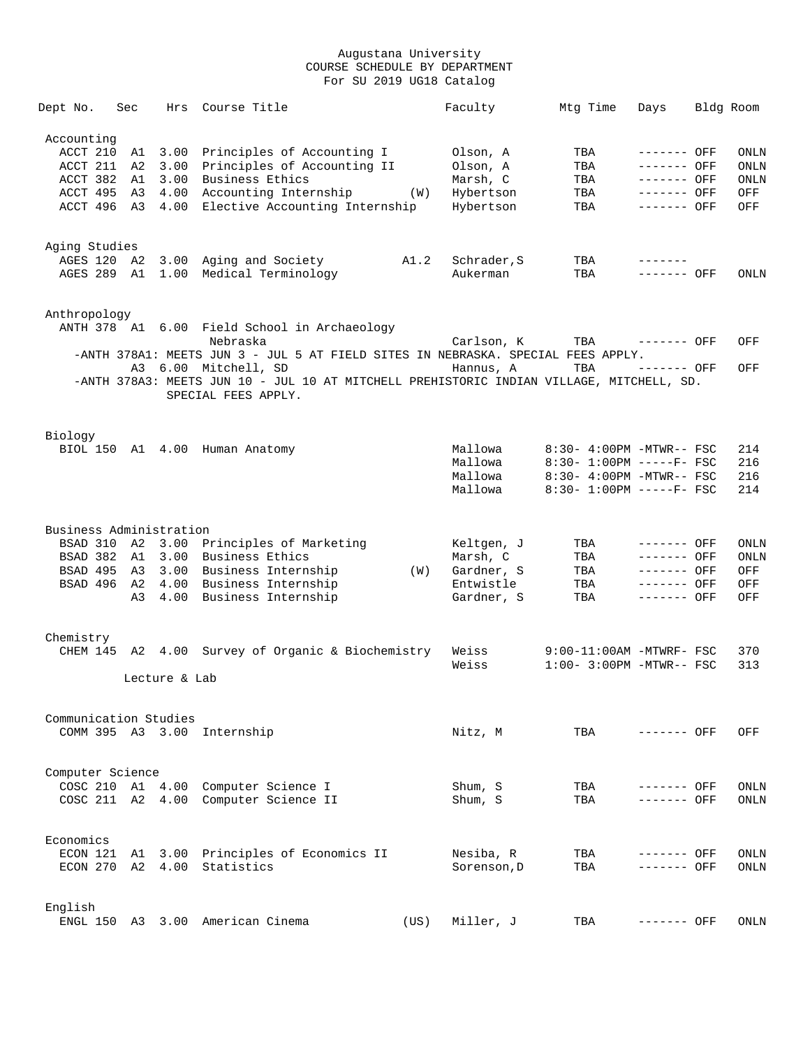| Dept No.                                                   | Sec            | Hrs           | Course Title                                                                                                                                                              |      | Faculty                                                         | Mtg Time                                                                                                        | Days                                                                     | Bldg Room                                        |
|------------------------------------------------------------|----------------|---------------|---------------------------------------------------------------------------------------------------------------------------------------------------------------------------|------|-----------------------------------------------------------------|-----------------------------------------------------------------------------------------------------------------|--------------------------------------------------------------------------|--------------------------------------------------|
| Accounting<br>ACCT 210<br>ACCT 211<br>ACCT 382<br>ACCT 495 | A1<br>A2<br>A1 | 3.00<br>3.00  | 3.00 Principles of Accounting I<br>Principles of Accounting II<br>Business Ethics<br>A3 4.00 Accounting Internship (W)<br>ACCT 496 A3 4.00 Elective Accounting Internship |      | Olson, A<br>Olson, A<br>Marsh, C<br>Hybertson<br>Hybertson      | TBA<br>TBA<br>TBA<br>TBA<br>TBA                                                                                 | ------- OFF<br>------- OFF<br>------- OFF<br>------- OFF<br>------- OFF  | ONLN<br><b>ONLN</b><br><b>ONLN</b><br>OFF<br>OFF |
| Aging Studies                                              |                |               | AGES 120 A2 3.00 Aging and Society<br>AGES 289 A1 1.00 Medical Terminology                                                                                                | A1.2 | Schrader, S<br>Aukerman                                         | TBA<br>TBA                                                                                                      | $- - - - - - -$<br>------- OFF                                           | ONLN                                             |
| Anthropology                                               |                |               | ANTH 378 A1 6.00 Field School in Archaeology<br>Nebraska<br>-ANTH 378A1: MEETS JUN 3 - JUL 5 AT FIELD SITES IN NEBRASKA. SPECIAL FEES APPLY.                              |      | Carlson, K                                                      | TBA                                                                                                             | ------- OFF                                                              | OFF                                              |
|                                                            |                |               | A3 6.00 Mitchell, SD<br>-ANTH 378A3: MEETS JUN 10 - JUL 10 AT MITCHELL PREHISTORIC INDIAN VILLAGE, MITCHELL, SD.<br>SPECIAL FEES APPLY.                                   |      | Hannus, A                                                       | TBA                                                                                                             | $------$ OFF                                                             | OFF                                              |
| Biology                                                    |                |               | BIOL 150 A1 4.00 Human Anatomy                                                                                                                                            |      | Mallowa<br>Mallowa<br>Mallowa<br>Mallowa                        | 8:30- 4:00PM -MTWR-- FSC<br>$8:30 - 1:00PM$ -----F- FSC<br>8:30- 4:00PM -MTWR-- FSC<br>8:30- 1:00PM -----F- FSC |                                                                          | 214<br>216<br>216<br>214                         |
| Business Administration<br>BSAD 382 A1<br>BSAD 496         |                | A2 4.00       | BSAD 310 A2 3.00 Principles of Marketing<br>3.00 Business Ethics<br>BSAD 495 A3 3.00 Business Internship<br>Business Internship<br>A3 4.00 Business Internship            | (W)  | Keltgen, J<br>Marsh, C<br>Gardner, S<br>Entwistle<br>Gardner, S | TBA<br>TBA<br>TBA<br>TBA<br>TBA                                                                                 | ------- OFF<br>------- OFF<br>------- OFF<br>------- OFF<br>$------$ OFF | ONLN<br><b>ONLN</b><br>OFF<br>OFF<br>OFF         |
| Chemistry                                                  |                | Lecture & Lab | CHEM 145 A2 4.00 Survey of Organic & Biochemistry                                                                                                                         |      | Weiss<br>Weiss                                                  | $9:00-11:00$ AM -MTWRF- FSC<br>$1:00-3:00PM -MTWR--FSC$                                                         |                                                                          | 370<br>313                                       |
| Communication Studies                                      |                |               | COMM 395 A3 3.00 Internship                                                                                                                                               |      | Nitz, M                                                         | TBA                                                                                                             | ------- OFF                                                              | OFF.                                             |
| Computer Science                                           |                |               | COSC 210 A1 4.00 Computer Science I<br>COSC 211 A2 4.00 Computer Science II                                                                                               |      | Shum, S<br>Shum, S                                              | TBA<br>TBA                                                                                                      | ------- OFF<br>------- OFF                                               | <b>ONLN</b><br><b>ONLN</b>                       |
| Economics                                                  |                |               | ECON 121 A1 3.00 Principles of Economics II<br>ECON 270 A2 4.00 Statistics                                                                                                |      | Nesiba, R<br>Sorenson, D                                        | TBA<br>TBA                                                                                                      | ------- OFF<br>------- OFF                                               | ONLN<br>ONLN                                     |
| English                                                    |                |               | ENGL 150 A3 3.00 American Cinema                                                                                                                                          | (US) | Miller, J                                                       | TBA                                                                                                             | ------- OFF                                                              | ONLN                                             |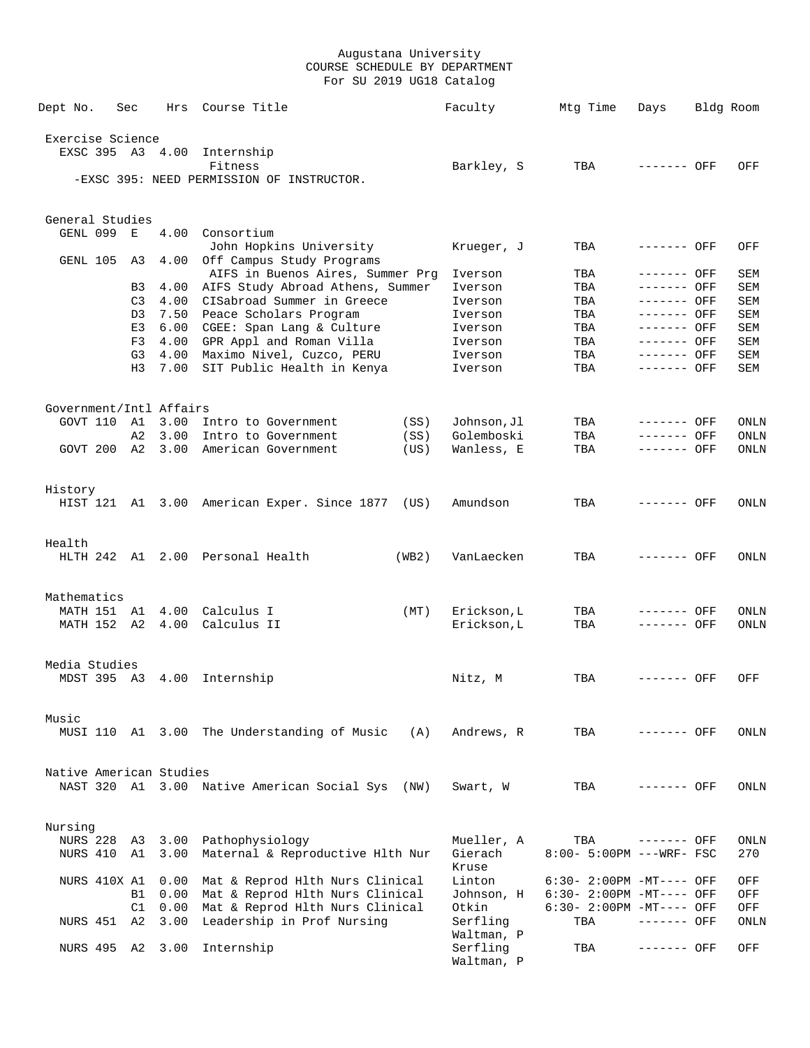| Dept No.                | Sec            | Hrs     | Course Title                                         |       | Faculty                | Mtg Time                 | Days        | Bldg Room |
|-------------------------|----------------|---------|------------------------------------------------------|-------|------------------------|--------------------------|-------------|-----------|
| Exercise Science        |                |         |                                                      |       |                        |                          |             |           |
| EXSC 395 A3 4.00        |                |         | Internship                                           |       |                        |                          |             |           |
|                         |                |         | Fitness                                              |       | Barkley, S             | TBA                      | ------- OFF | OFF       |
|                         |                |         | -EXSC 395: NEED PERMISSION OF INSTRUCTOR.            |       |                        |                          |             |           |
| General Studies         |                |         |                                                      |       |                        |                          |             |           |
| GENL 099                | Е              | 4.00    | Consortium                                           |       |                        |                          |             |           |
| GENL 105                | A3             | 4.00    | John Hopkins University<br>Off Campus Study Programs |       | Krueger, J             | TBA                      | ------- OFF | OFF       |
|                         |                |         | AIFS in Buenos Aires, Summer Prg                     |       | Iverson                | TBA                      | ------- OFF | SEM       |
|                         | B3             | 4.00    | AIFS Study Abroad Athens, Summer                     |       | Iverson                | TBA                      | ------- OFF | SEM       |
|                         | C <sub>3</sub> | 4.00    | CISabroad Summer in Greece                           |       | Iverson                | TBA                      | ------- OFF | SEM       |
|                         | D3             | 7.50    | Peace Scholars Program                               |       | Iverson                | TBA                      | ------- OFF | SEM       |
|                         | E3             |         | 6.00 CGEE: Span Lang & Culture                       |       | Iverson                | TBA                      | ------- OFF | SEM       |
|                         | F3             | 4.00    | GPR Appl and Roman Villa                             |       | Iverson                | TBA                      | ------- OFF | SEM       |
|                         | G3             | 4.00    | Maximo Nivel, Cuzco, PERU                            |       | Iverson                | TBA                      | ------- OFF | SEM       |
|                         | H3             | 7.00    | SIT Public Health in Kenya                           |       | Iverson                | TBA                      | ------- OFF | SEM       |
|                         |                |         |                                                      |       |                        |                          |             |           |
| Government/Intl Affairs |                |         |                                                      |       |                        |                          |             |           |
| GOVT 110 A1             |                | 3.00    | Intro to Government                                  | (SS)  | Johnson, Jl            | TBA                      | ------- OFF | ONLN      |
|                         | A2             | 3.00    | Intro to Government                                  | (SS)  | Golemboski             | TBA                      | ------- OFF | ONLN      |
| GOVT 200                | A2             | 3.00    | American Government                                  | (US)  | Wanless, E             | TBA                      | ------- OFF | ONLN      |
| History                 |                |         |                                                      |       |                        |                          |             |           |
|                         |                |         | HIST 121 A1 3.00 American Exper. Since 1877 (US)     |       | Amundson               | TBA                      | ------- OFF | ONLN      |
|                         |                |         |                                                      |       |                        |                          |             |           |
| Health                  |                |         | HLTH 242 A1 2.00 Personal Health                     | (WB2) | VanLaecken             | TBA                      | ------- OFF | ONLN      |
|                         |                |         |                                                      |       |                        |                          |             |           |
| Mathematics             |                |         |                                                      |       |                        |                          |             |           |
| MATH 151 A1             |                | 4.00    | Calculus I                                           | (MT)  | Erickson, L            | TBA                      | ------- OFF | ONLN      |
| MATH 152                | A2             | 4.00    | Calculus II                                          |       | Erickson, L            | TBA                      | ------- OFF | ONLN      |
| Media Studies           |                |         |                                                      |       |                        |                          |             |           |
|                         |                |         | MDST 395 A3 4.00 Internship                          |       | Nitz, M                | TBA                      | ------- OFF | OFF       |
| Music                   |                |         |                                                      |       |                        |                          |             |           |
|                         |                |         | MUSI 110 A1 3.00 The Understanding of Music          | (A)   | Andrews, R             | TBA                      | ------- OFF | ONLN      |
|                         |                |         |                                                      |       |                        |                          |             |           |
| Native American Studies |                |         |                                                      |       |                        |                          |             |           |
|                         |                |         | NAST 320 A1 3.00 Native American Social Sys (NW)     |       | Swart, W               | TBA                      | ------- OFF | ONLN      |
| Nursing                 |                |         |                                                      |       |                        |                          |             |           |
| <b>NURS 228</b>         |                | A3 3.00 | Pathophysiology                                      |       | Mueller, A             | TBA                      | ------- OFF | ONLN      |
| NURS 410                | A1             | 3.00    | Maternal & Reproductive Hlth Nur                     |       | Gierach<br>Kruse       | 8:00- 5:00PM ---WRF- FSC |             | 270       |
| NURS 410X A1            |                | 0.00    | Mat & Reprod Hlth Nurs Clinical                      |       | Linton                 | 6:30- 2:00PM -MT---- OFF |             | OFF       |
|                         | B1             |         | 0.00 Mat & Reprod Hlth Nurs Clinical                 |       | Johnson, H             | 6:30- 2:00PM -MT---- OFF |             | OFF       |
|                         | C1             | 0.00    | Mat & Reprod Hlth Nurs Clinical                      |       | Otkin                  | 6:30- 2:00PM -MT---- OFF |             | OFF       |
| NURS 451 A2             |                | 3.00    | Leadership in Prof Nursing                           |       | Serfling               | TBA                      | ------- OFF | ONLN      |
|                         |                |         |                                                      |       | Waltman, P             |                          |             |           |
| NURS 495 A2 3.00        |                |         | Internship                                           |       | Serfling<br>Waltman, P | TBA                      | ------- OFF | OFF       |
|                         |                |         |                                                      |       |                        |                          |             |           |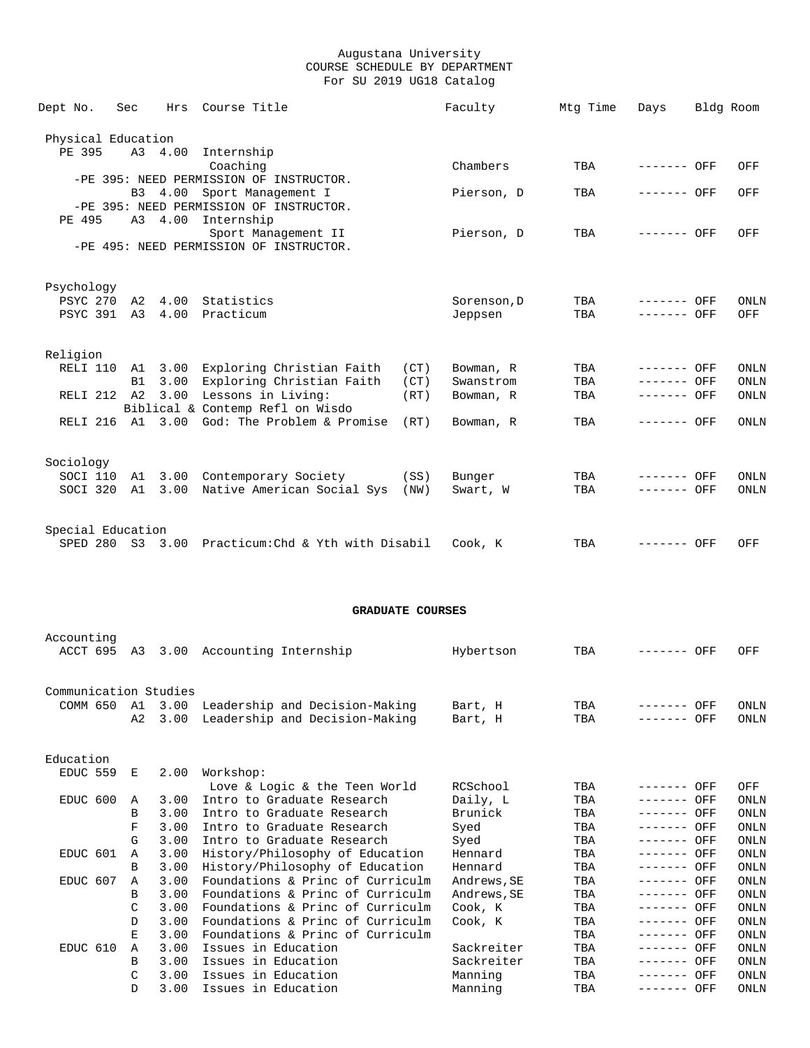| Dept No.           | Sec |                  | Hrs Course Title                                   |      | Faculty     | Mtg Time | Days         | Bldg Room |             |
|--------------------|-----|------------------|----------------------------------------------------|------|-------------|----------|--------------|-----------|-------------|
| Physical Education |     |                  |                                                    |      |             |          |              |           |             |
| PE 395             |     | A3 4.00          | Internship                                         |      |             |          |              |           |             |
|                    |     |                  | Coaching                                           |      | Chambers    | TBA      | ------- OFF  |           | OFF         |
|                    |     |                  | -PE 395: NEED PERMISSION OF INSTRUCTOR.            |      |             |          |              |           |             |
|                    |     | B3 4.00          | Sport Management I                                 |      | Pierson, D  | TBA      | $------$ OFF |           | OFF         |
|                    |     |                  | -PE 395: NEED PERMISSION OF INSTRUCTOR.            |      |             |          |              |           |             |
| PE 495             |     |                  | A3 4.00 Internship                                 |      |             |          |              |           |             |
|                    |     |                  | Sport Management II                                |      | Pierson, D  | TBA      | ------- OFF  |           | OFF         |
|                    |     |                  | -PE 495: NEED PERMISSION OF INSTRUCTOR.            |      |             |          |              |           |             |
|                    |     |                  |                                                    |      |             |          |              |           |             |
|                    |     |                  |                                                    |      |             |          |              |           |             |
| Psychology         |     |                  |                                                    |      |             |          |              |           |             |
| PSYC 270           |     | A2 4.00          | Statistics                                         |      | Sorenson, D | TBA      | ------- OFF  |           | ONLN        |
|                    |     | PSYC 391 A3 4.00 | Practicum                                          |      | Jeppsen     | TBA      | $------$ OFF |           | OFF         |
|                    |     |                  |                                                    |      |             |          |              |           |             |
| Religion           |     |                  |                                                    |      |             |          |              |           |             |
| RELI 110           |     |                  | Al 3.00 Exploring Christian Faith                  | (CT) | Bowman, R   | TBA      | ------- OFF  |           | <b>ONLN</b> |
|                    | B1  |                  | 3.00 Exploring Christian Faith                     | (CT) | Swanstrom   | TBA      | $------$ OFF |           | <b>ONLN</b> |
|                    |     |                  | RELI 212 A2 3.00 Lessons in Living:                | (RT) | Bowman, R   | TBA      | $------$ OFF |           | ONLN        |
|                    |     |                  | Biblical & Contemp Refl on Wisdo                   |      |             |          |              |           |             |
|                    |     |                  | RELI 216 A1 3.00 God: The Problem & Promise        | (RT) | Bowman, R   | TBA      | $------$ OFF |           | <b>ONLN</b> |
|                    |     |                  |                                                    |      |             |          |              |           |             |
|                    |     |                  |                                                    |      |             |          |              |           |             |
| Sociology          |     |                  |                                                    |      |             |          |              |           |             |
| SOCI 110           |     |                  | A1 3.00 Contemporary Society                       | (SS) | Bunger      | TBA      | ------- OFF  |           | <b>ONLN</b> |
| SOCI 320           | A1  | 3.00             | Native American Social Sys                         | (NW) | Swart, W    | TBA      | ------- OFF  |           | <b>ONLN</b> |
|                    |     |                  |                                                    |      |             |          |              |           |             |
|                    |     |                  |                                                    |      |             |          |              |           |             |
| Special Education  |     |                  |                                                    |      |             |          |              |           |             |
|                    |     |                  | SPED 280 S3 3.00 Practicum: Chd & Yth with Disabil |      | Cook, K     | TBA      | ------- OFF  |           | OFF         |

## **GRADUATE COURSES**

| Accounting<br>ACCT 695 | A3               | 3.00 | Accounting Internship            | Hybertson   | TBA | --------     | OFF | OFF         |
|------------------------|------------------|------|----------------------------------|-------------|-----|--------------|-----|-------------|
| Communication Studies  |                  |      |                                  |             |     |              |     |             |
| COMM 650               | A1               | 3.00 | Leadership and Decision-Making   | Bart, H     | TBA | ------- OFF  |     | <b>ONLN</b> |
|                        | A <sub>2</sub>   | 3.00 | Leadership and Decision-Making   | Bart, H     | TBA | ------- OFF  |     | ONLN        |
| Education              |                  |      |                                  |             |     |              |     |             |
| EDUC 559               | E                | 2.00 | Workshop:                        |             |     |              |     |             |
|                        |                  |      | Love & Logic & the Teen World    | RCSchool    | TBA | ------- OFF  |     | OFF         |
| EDUC 600               | $\mathbb{A}$     | 3.00 | Intro to Graduate Research       | Daily, L    | TBA | ------- OFF  |     | <b>ONLN</b> |
|                        | <sub>R</sub>     | 3.00 | Intro to Graduate Research       | Brunick     | TBA | ------- OFF  |     | ONLN        |
|                        | F                | 3.00 | Intro to Graduate Research       | Syed        | TBA | ------- OFF  |     | <b>ONLN</b> |
|                        | G                | 3.00 | Intro to Graduate Research       | Syed        | TBA | ------- OFF  |     | ONLN        |
| EDUC 601               | $\mathbb{A}$     | 3.00 | History/Philosophy of Education  | Hennard     | TBA | ------- OFF  |     | ONLN        |
|                        | <sub>R</sub>     | 3.00 | History/Philosophy of Education  | Hennard     | TBA | ------- OFF  |     | ONLN        |
| EDUC 607               | A                | 3.00 | Foundations & Princ of Curriculm | Andrews, SE | TBA | ------- OFF  |     | <b>ONLN</b> |
|                        | B                | 3.00 | Foundations & Princ of Curriculm | Andrews, SE | TBA | ------- OFF  |     | ONLN        |
|                        | C                | 3.00 | Foundations & Princ of Curriculm | Cook, K     | TBA | ------- OFF  |     | ONLN        |
|                        | $\mathcal{D}$    | 3.00 | Foundations & Princ of Curriculm | Cook, K     | TBA | ------- OFF  |     | <b>ONLN</b> |
|                        | Е.               | 3.00 | Foundations & Princ of Curriculm |             | TBA | ------- OFF  |     | <b>ONLN</b> |
| EDUC 610               | $\triangleright$ | 3.00 | Issues in Education              | Sackreiter  | TBA | $------$ OFF |     | ONLN        |
|                        | B                | 3.00 | Issues in Education              | Sackreiter  | TBA | ------- OFF  |     | <b>ONLN</b> |
|                        | C                | 3.00 | Issues in Education              | Manning     | TBA | ------- OFF  |     | ONLN        |
|                        | <sup>D</sup>     | 3.00 | Issues in Education              | Manning     | TBA | ------- OFF  |     | <b>ONLN</b> |